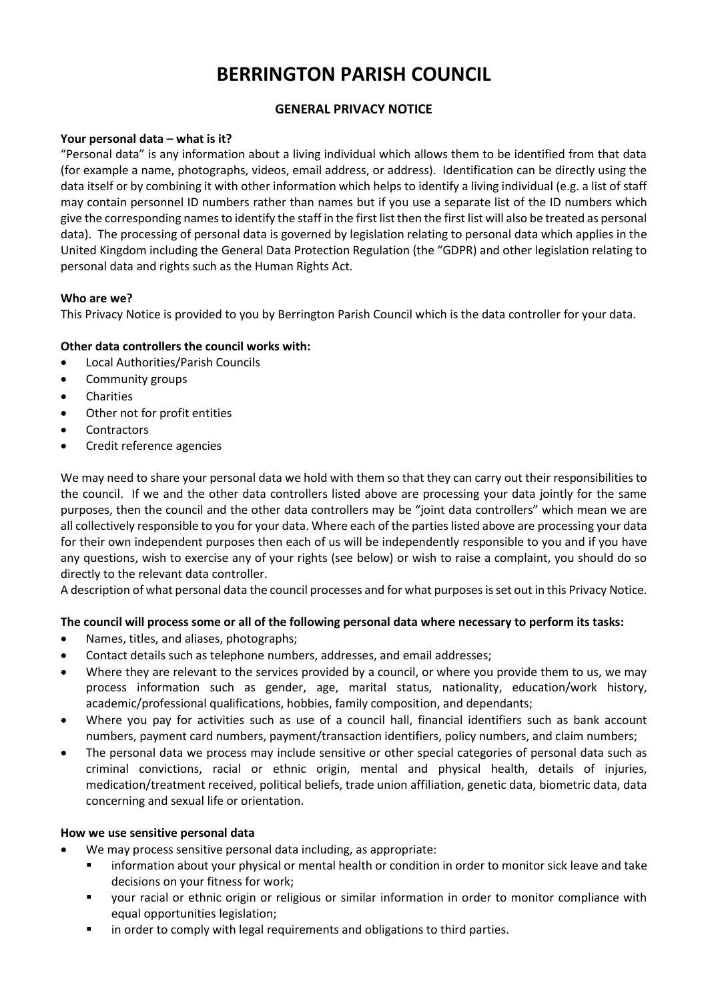# **BERRINGTON PARISH COUNCIL**

# **GENERAL PRIVACY NOTICE**

## **Your personal data – what is it?**

"Personal data" is any information about a living individual which allows them to be identified from that data (for example a name, photographs, videos, email address, or address). Identification can be directly using the data itself or by combining it with other information which helps to identify a living individual (e.g. a list of staff may contain personnel ID numbers rather than names but if you use a separate list of the ID numbers which give the corresponding names to identify the staff in the first list then the first list will also be treated as personal data). The processing of personal data is governed by legislation relating to personal data which applies in the United Kingdom including the General Data Protection Regulation (the "GDPR) and other legislation relating to personal data and rights such as the Human Rights Act.

## **Who are we?**

This Privacy Notice is provided to you by Berrington Parish Council which is the data controller for your data.

# **Other data controllers the council works with:**

- Local Authorities/Parish Councils
- Community groups
- **Charities**
- Other not for profit entities
- **Contractors**
- Credit reference agencies

We may need to share your personal data we hold with them so that they can carry out their responsibilities to the council. If we and the other data controllers listed above are processing your data jointly for the same purposes, then the council and the other data controllers may be "joint data controllers" which mean we are all collectively responsible to you for your data. Where each of the parties listed above are processing your data for their own independent purposes then each of us will be independently responsible to you and if you have any questions, wish to exercise any of your rights (see below) or wish to raise a complaint, you should do so directly to the relevant data controller.

A description of what personal data the council processes and for what purposes is set out in this Privacy Notice.

# **The council will process some or all of the following personal data where necessary to perform its tasks:**

- Names, titles, and aliases, photographs;
- Contact details such as telephone numbers, addresses, and email addresses;
- Where they are relevant to the services provided by a council, or where you provide them to us, we may process information such as gender, age, marital status, nationality, education/work history, academic/professional qualifications, hobbies, family composition, and dependants;
- Where you pay for activities such as use of a council hall, financial identifiers such as bank account numbers, payment card numbers, payment/transaction identifiers, policy numbers, and claim numbers;
- The personal data we process may include sensitive or other special categories of personal data such as criminal convictions, racial or ethnic origin, mental and physical health, details of injuries, medication/treatment received, political beliefs, trade union affiliation, genetic data, biometric data, data concerning and sexual life or orientation.

#### **How we use sensitive personal data**

- We may process sensitive personal data including, as appropriate:
	- information about your physical or mental health or condition in order to monitor sick leave and take decisions on your fitness for work;
	- your racial or ethnic origin or religious or similar information in order to monitor compliance with equal opportunities legislation;
	- **■** in order to comply with legal requirements and obligations to third parties.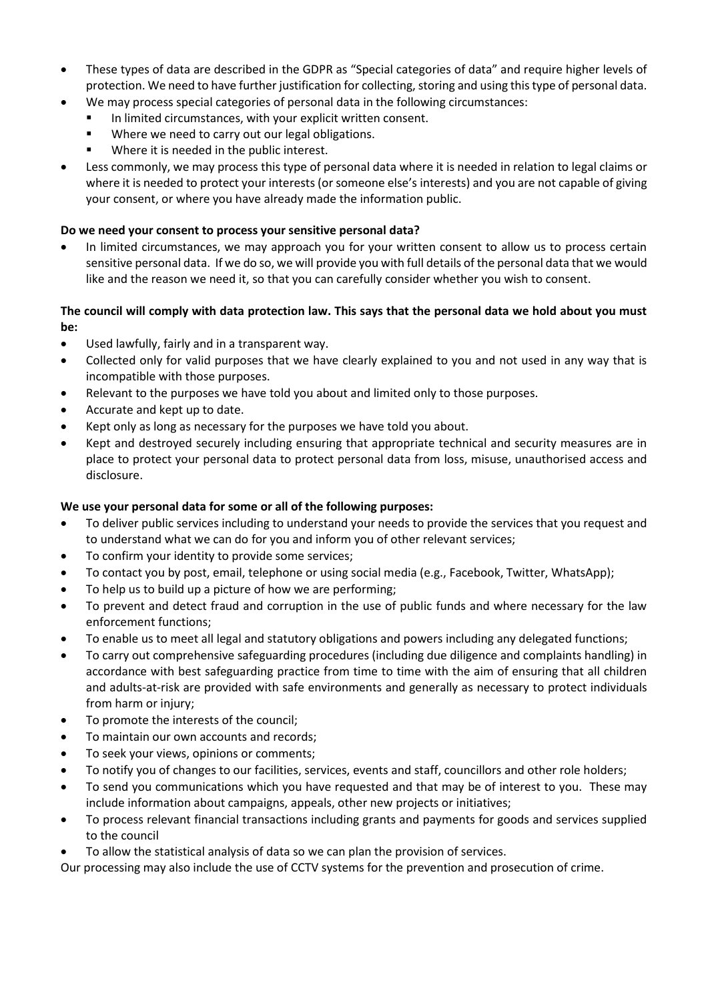- These types of data are described in the GDPR as "Special categories of data" and require higher levels of protection. We need to have further justification for collecting, storing and using this type of personal data.
	- We may process special categories of personal data in the following circumstances:
		- In limited circumstances, with your explicit written consent.
		- Where we need to carry out our legal obligations.
		- Where it is needed in the public interest.
- Less commonly, we may process this type of personal data where it is needed in relation to legal claims or where it is needed to protect your interests (or someone else's interests) and you are not capable of giving your consent, or where you have already made the information public.

# **Do we need your consent to process your sensitive personal data?**

In limited circumstances, we may approach you for your written consent to allow us to process certain sensitive personal data. If we do so, we will provide you with full details of the personal data that we would like and the reason we need it, so that you can carefully consider whether you wish to consent.

# **The council will comply with data protection law. This says that the personal data we hold about you must be:**

- Used lawfully, fairly and in a transparent way.
- Collected only for valid purposes that we have clearly explained to you and not used in any way that is incompatible with those purposes.
- Relevant to the purposes we have told you about and limited only to those purposes.
- Accurate and kept up to date.
- Kept only as long as necessary for the purposes we have told you about.
- Kept and destroyed securely including ensuring that appropriate technical and security measures are in place to protect your personal data to protect personal data from loss, misuse, unauthorised access and disclosure.

# **We use your personal data for some or all of the following purposes:**

- To deliver public services including to understand your needs to provide the services that you request and to understand what we can do for you and inform you of other relevant services;
- To confirm your identity to provide some services;
- To contact you by post, email, telephone or using social media (e.g., Facebook, Twitter, WhatsApp);
- To help us to build up a picture of how we are performing;
- To prevent and detect fraud and corruption in the use of public funds and where necessary for the law enforcement functions;
- To enable us to meet all legal and statutory obligations and powers including any delegated functions;
- To carry out comprehensive safeguarding procedures (including due diligence and complaints handling) in accordance with best safeguarding practice from time to time with the aim of ensuring that all children and adults-at-risk are provided with safe environments and generally as necessary to protect individuals from harm or injury;
- To promote the interests of the council;
- To maintain our own accounts and records;
- To seek your views, opinions or comments;
- To notify you of changes to our facilities, services, events and staff, councillors and other role holders;
- To send you communications which you have requested and that may be of interest to you. These may include information about campaigns, appeals, other new projects or initiatives;
- To process relevant financial transactions including grants and payments for goods and services supplied to the council
- To allow the statistical analysis of data so we can plan the provision of services.

Our processing may also include the use of CCTV systems for the prevention and prosecution of crime.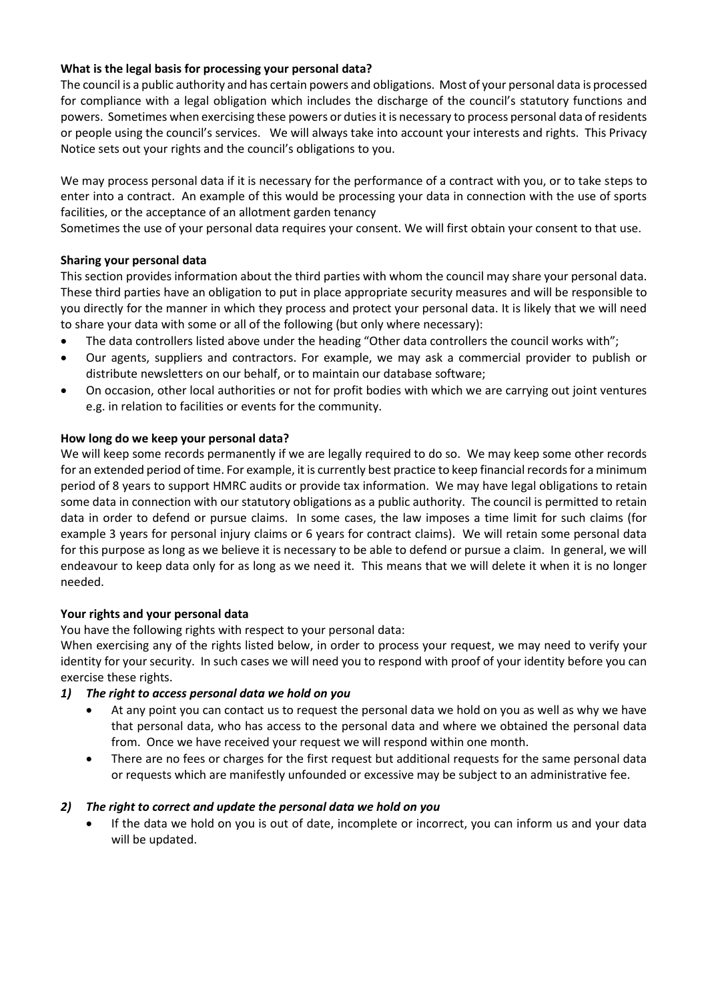# **What is the legal basis for processing your personal data?**

The council is a public authority and has certain powers and obligations. Most of your personal data is processed for compliance with a legal obligation which includes the discharge of the council's statutory functions and powers. Sometimes when exercising these powers or duties it is necessary to process personal data of residents or people using the council's services. We will always take into account your interests and rights. This Privacy Notice sets out your rights and the council's obligations to you.

We may process personal data if it is necessary for the performance of a contract with you, or to take steps to enter into a contract. An example of this would be processing your data in connection with the use of sports facilities, or the acceptance of an allotment garden tenancy

Sometimes the use of your personal data requires your consent. We will first obtain your consent to that use.

## **Sharing your personal data**

This section provides information about the third parties with whom the council may share your personal data. These third parties have an obligation to put in place appropriate security measures and will be responsible to you directly for the manner in which they process and protect your personal data. It is likely that we will need to share your data with some or all of the following (but only where necessary):

- The data controllers listed above under the heading "Other data controllers the council works with";
- Our agents, suppliers and contractors. For example, we may ask a commercial provider to publish or distribute newsletters on our behalf, or to maintain our database software;
- On occasion, other local authorities or not for profit bodies with which we are carrying out joint ventures e.g. in relation to facilities or events for the community.

## **How long do we keep your personal data?**

We will keep some records permanently if we are legally required to do so. We may keep some other records for an extended period of time. For example, it is currently best practice to keep financial records for a minimum period of 8 years to support HMRC audits or provide tax information. We may have legal obligations to retain some data in connection with our statutory obligations as a public authority. The council is permitted to retain data in order to defend or pursue claims. In some cases, the law imposes a time limit for such claims (for example 3 years for personal injury claims or 6 years for contract claims). We will retain some personal data for this purpose as long as we believe it is necessary to be able to defend or pursue a claim. In general, we will endeavour to keep data only for as long as we need it. This means that we will delete it when it is no longer needed.

#### **Your rights and your personal data**

You have the following rights with respect to your personal data:

When exercising any of the rights listed below, in order to process your request, we may need to verify your identity for your security. In such cases we will need you to respond with proof of your identity before you can exercise these rights.

#### *1) The right to access personal data we hold on you*

- At any point you can contact us to request the personal data we hold on you as well as why we have that personal data, who has access to the personal data and where we obtained the personal data from. Once we have received your request we will respond within one month.
- There are no fees or charges for the first request but additional requests for the same personal data or requests which are manifestly unfounded or excessive may be subject to an administrative fee.

#### *2) The right to correct and update the personal data we hold on you*

• If the data we hold on you is out of date, incomplete or incorrect, you can inform us and your data will be updated.